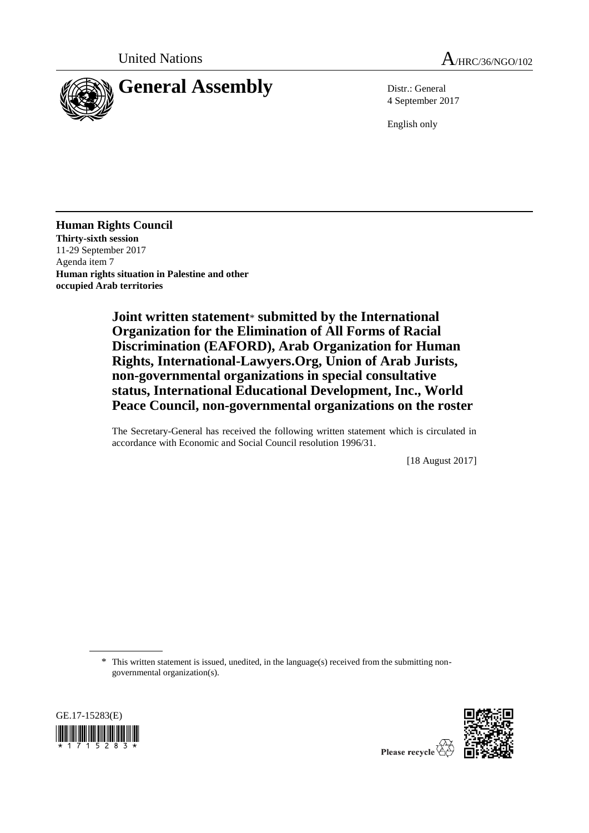

4 September 2017

English only

**Human Rights Council Thirty-sixth session** 11-29 September 2017 Agenda item 7 **Human rights situation in Palestine and other occupied Arab territories**

> **Joint written statement**\* **submitted by the International Organization for the Elimination of All Forms of Racial Discrimination (EAFORD), Arab Organization for Human Rights, International-Lawyers.Org, Union of Arab Jurists, non-governmental organizations in special consultative status, International Educational Development, Inc., World Peace Council, non-governmental organizations on the roster**

> The Secretary-General has received the following written statement which is circulated in accordance with Economic and Social Council resolution 1996/31.

> > [18 August 2017]

\* This written statement is issued, unedited, in the language(s) received from the submitting nongovernmental organization(s).



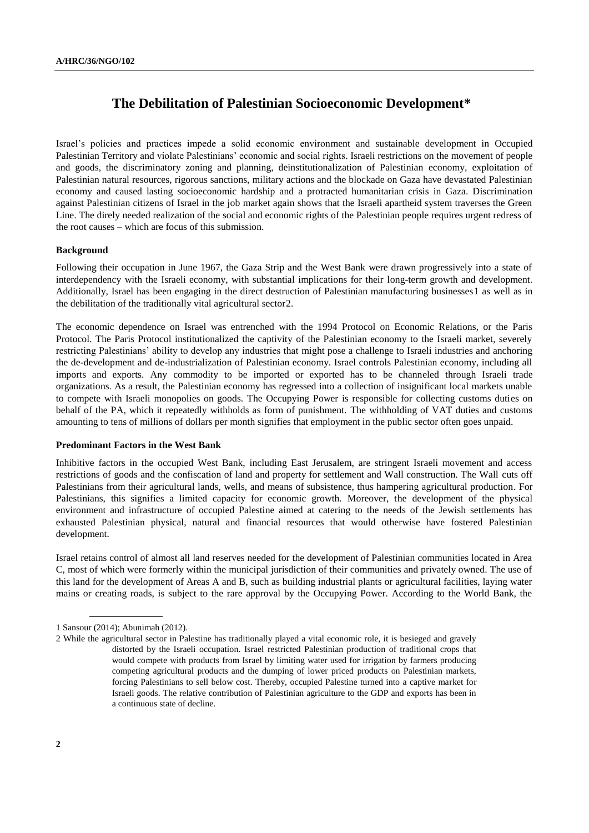# **The Debilitation of Palestinian Socioeconomic Development\***

Israel's policies and practices impede a solid economic environment and sustainable development in Occupied Palestinian Territory and violate Palestinians' economic and social rights. Israeli restrictions on the movement of people and goods, the discriminatory zoning and planning, deinstitutionalization of Palestinian economy, exploitation of Palestinian natural resources, rigorous sanctions, military actions and the blockade on Gaza have devastated Palestinian economy and caused lasting socioeconomic hardship and a protracted humanitarian crisis in Gaza. Discrimination against Palestinian citizens of Israel in the job market again shows that the Israeli apartheid system traverses the Green Line. The direly needed realization of the social and economic rights of the Palestinian people requires urgent redress of the root causes – which are focus of this submission.

## **Background**

Following their occupation in June 1967, the Gaza Strip and the West Bank were drawn progressively into a state of interdependency with the Israeli economy, with substantial implications for their long-term growth and development. Additionally, Israel has been engaging in the direct destruction of Palestinian manufacturing businesses 1 as well as in the debilitation of the traditionally vital agricultural sector2.

The economic dependence on Israel was entrenched with the 1994 Protocol on Economic Relations, or the Paris Protocol. The Paris Protocol institutionalized the captivity of the Palestinian economy to the Israeli market, severely restricting Palestinians' ability to develop any industries that might pose a challenge to Israeli industries and anchoring the de-development and de-industrialization of Palestinian economy. Israel controls Palestinian economy, including all imports and exports. Any commodity to be imported or exported has to be channeled through Israeli trade organizations. As a result, the Palestinian economy has regressed into a collection of insignificant local markets unable to compete with Israeli monopolies on goods. The Occupying Power is responsible for collecting customs duties on behalf of the PA, which it repeatedly withholds as form of punishment. The withholding of VAT duties and customs amounting to tens of millions of dollars per month signifies that employment in the public sector often goes unpaid.

#### **Predominant Factors in the West Bank**

Inhibitive factors in the occupied West Bank, including East Jerusalem, are stringent Israeli movement and access restrictions of goods and the confiscation of land and property for settlement and Wall construction. The Wall cuts off Palestinians from their agricultural lands, wells, and means of subsistence, thus hampering agricultural production. For Palestinians, this signifies a limited capacity for economic growth. Moreover, the development of the physical environment and infrastructure of occupied Palestine aimed at catering to the needs of the Jewish settlements has exhausted Palestinian physical, natural and financial resources that would otherwise have fostered Palestinian development.

Israel retains control of almost all land reserves needed for the development of Palestinian communities located in Area C, most of which were formerly within the municipal jurisdiction of their communities and privately owned. The use of this land for the development of Areas A and B, such as building industrial plants or agricultural facilities, laying water mains or creating roads, is subject to the rare approval by the Occupying Power. According to the World Bank, the

<sup>1</sup> Sansour (2014); Abunimah (2012).

<sup>2</sup> While the agricultural sector in Palestine has traditionally played a vital economic role, it is besieged and gravely distorted by the Israeli occupation. Israel restricted Palestinian production of traditional crops that would compete with products from Israel by limiting water used for irrigation by farmers producing competing agricultural products and the dumping of lower priced products on Palestinian markets, forcing Palestinians to sell below cost. Thereby, occupied Palestine turned into a captive market for Israeli goods. The relative contribution of Palestinian agriculture to the GDP and exports has been in a continuous state of decline.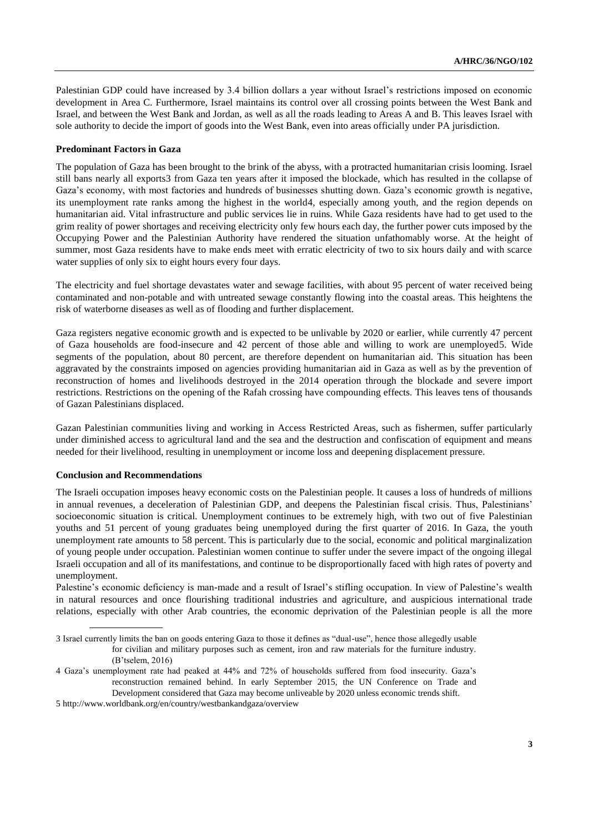Palestinian GDP could have increased by 3.4 billion dollars a year without Israel's restrictions imposed on economic development in Area C. Furthermore, Israel maintains its control over all crossing points between the West Bank and Israel, and between the West Bank and Jordan, as well as all the roads leading to Areas A and B. This leaves Israel with sole authority to decide the import of goods into the West Bank, even into areas officially under PA jurisdiction.

### **Predominant Factors in Gaza**

The population of Gaza has been brought to the brink of the abyss, with a protracted humanitarian crisis looming. Israel still bans nearly all exports3 from Gaza ten years after it imposed the blockade, which has resulted in the collapse of Gaza's economy, with most factories and hundreds of businesses shutting down. Gaza's economic growth is negative, its unemployment rate ranks among the highest in the world4, especially among youth, and the region depends on humanitarian aid. Vital infrastructure and public services lie in ruins. While Gaza residents have had to get used to the grim reality of power shortages and receiving electricity only few hours each day, the further power cuts imposed by the Occupying Power and the Palestinian Authority have rendered the situation unfathomably worse. At the height of summer, most Gaza residents have to make ends meet with erratic electricity of two to six hours daily and with scarce water supplies of only six to eight hours every four days.

The electricity and fuel shortage devastates water and sewage facilities, with about 95 percent of water received being contaminated and non-potable and with untreated sewage constantly flowing into the coastal areas. This heightens the risk of waterborne diseases as well as of flooding and further displacement.

Gaza registers negative economic growth and is expected to be unlivable by 2020 or earlier, while currently 47 percent of Gaza households are food-insecure and 42 percent of those able and willing to work are unemployed5. Wide segments of the population, about 80 percent, are therefore dependent on humanitarian aid. This situation has been aggravated by the constraints imposed on agencies providing humanitarian aid in Gaza as well as by the prevention of reconstruction of homes and livelihoods destroyed in the 2014 operation through the blockade and severe import restrictions. Restrictions on the opening of the Rafah crossing have compounding effects. This leaves tens of thousands of Gazan Palestinians displaced.

Gazan Palestinian communities living and working in Access Restricted Areas, such as fishermen, suffer particularly under diminished access to agricultural land and the sea and the destruction and confiscation of equipment and means needed for their livelihood, resulting in unemployment or income loss and deepening displacement pressure.

### **Conclusion and Recommendations**

The Israeli occupation imposes heavy economic costs on the Palestinian people. It causes a loss of hundreds of millions in annual revenues, a deceleration of Palestinian GDP, and deepens the Palestinian fiscal crisis. Thus, Palestinians' socioeconomic situation is critical. Unemployment continues to be extremely high, with two out of five Palestinian youths and 51 percent of young graduates being unemployed during the first quarter of 2016. In Gaza, the youth unemployment rate amounts to 58 percent. This is particularly due to the social, economic and political marginalization of young people under occupation. Palestinian women continue to suffer under the severe impact of the ongoing illegal Israeli occupation and all of its manifestations, and continue to be disproportionally faced with high rates of poverty and unemployment.

Palestine's economic deficiency is man-made and a result of Israel's stifling occupation. In view of Palestine's wealth in natural resources and once flourishing traditional industries and agriculture, and auspicious international trade relations, especially with other Arab countries, the economic deprivation of the Palestinian people is all the more

5 http://www.worldbank.org/en/country/westbankandgaza/overview

<sup>3</sup> Israel currently limits the ban on goods entering Gaza to those it defines as "dual-use", hence those allegedly usable for civilian and military purposes such as cement, iron and raw materials for the furniture industry. (B'tselem, 2016)

<sup>4</sup> Gaza's unemployment rate had peaked at 44% and 72% of households suffered from food insecurity. Gaza's reconstruction remained behind. In early September 2015, the UN Conference on Trade and Development considered that Gaza may become unliveable by 2020 unless economic trends shift.